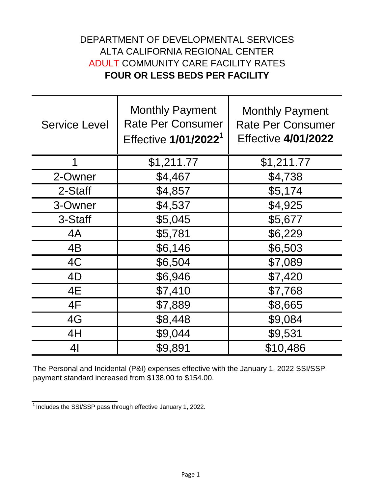## DEPARTMENT OF DEVELOPMENTAL SERVICES ALTA CALIFORNIA REGIONAL CENTER ADULT COMMUNITY CARE FACILITY RATES **FOUR OR LESS BEDS PER FACILITY**

| <b>Service Level</b> | <b>Monthly Payment</b><br><b>Rate Per Consumer</b><br>Effective 1/01/2022 <sup>1</sup> | <b>Monthly Payment</b><br><b>Rate Per Consumer</b><br><b>Effective 4/01/2022</b> |
|----------------------|----------------------------------------------------------------------------------------|----------------------------------------------------------------------------------|
|                      | \$1,211.77                                                                             | \$1,211.77                                                                       |
| 2-Owner              | \$4,467                                                                                | \$4,738                                                                          |
| 2-Staff              | \$4,857                                                                                | \$5,174                                                                          |
| 3-Owner              | \$4,537                                                                                | \$4,925                                                                          |
| 3-Staff              | \$5,045                                                                                | \$5,677                                                                          |
| 4A                   | \$5,781                                                                                | \$6,229                                                                          |
| 4B                   | \$6,146                                                                                | \$6,503                                                                          |
| 4C                   | \$6,504                                                                                | \$7,089                                                                          |
| 4D                   | \$6,946                                                                                | \$7,420                                                                          |
| 4E                   | \$7,410                                                                                | \$7,768                                                                          |
| 4F                   | \$7,889                                                                                | \$8,665                                                                          |
| 4G                   | \$8,448                                                                                | \$9,084                                                                          |
| 4H                   | \$9,044                                                                                | \$9,531                                                                          |
| 4 <sub>l</sub>       | \$9,891                                                                                | \$10,486                                                                         |

The Personal and Incidental (P&I) expenses effective with the January 1, 2022 SSI/SSP payment standard increased from \$138.00 to \$154.00.

 $\frac{1}{1}$ Includes the SSI/SSP pass through effective January 1, 2022.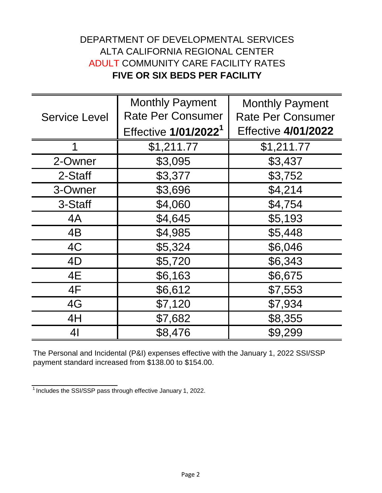## DEPARTMENT OF DEVELOPMENTAL SERVICES ALTA CALIFORNIA REGIONAL CENTER ADULT COMMUNITY CARE FACILITY RATES **FIVE OR SIX BEDS PER FACILITY**

| <b>Service Level</b> | <b>Monthly Payment</b>           | <b>Monthly Payment</b>     |
|----------------------|----------------------------------|----------------------------|
|                      | <b>Rate Per Consumer</b>         | <b>Rate Per Consumer</b>   |
|                      | Effective 1/01/2022 <sup>1</sup> | <b>Effective 4/01/2022</b> |
| 1                    | \$1,211.77                       | \$1,211.77                 |
| 2-Owner              | \$3,095                          | \$3,437                    |
| 2-Staff              | \$3,377                          | \$3,752                    |
| 3-Owner              | \$3,696                          | \$4,214                    |
| 3-Staff              | \$4,060                          | \$4,754                    |
| 4A                   | \$4,645                          | \$5,193                    |
| 4B                   | \$4,985                          | \$5,448                    |
| 4C                   | \$5,324                          | \$6,046                    |
| 4D                   | \$5,720                          | \$6,343                    |
| 4E                   | \$6,163                          | \$6,675                    |
| 4F                   | \$6,612                          | \$7,553                    |
| 4G                   | \$7,120                          | \$7,934                    |
| 4H                   | \$7,682                          | \$8,355                    |
| 41                   | \$8,476                          | \$9,299                    |

The Personal and Incidental (P&I) expenses effective with the January 1, 2022 SSI/SSP payment standard increased from \$138.00 to \$154.00.

 $\frac{1}{1}$ Includes the SSI/SSP pass through effective January 1, 2022.